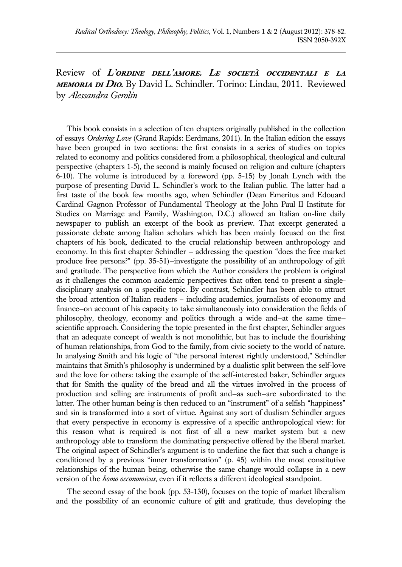Review of **L'ordine dell'amore. Le società occidentali e la memoria di Dio.** By David L. Schindler. Torino: Lindau, 2011. Reviewed by *Alessandra Gerolin*

 This book consists in a selection of ten chapters originally published in the collection of essays *Ordering Love* (Grand Rapids: Eerdmans, 2011). In the Italian edition the essays have been grouped in two sections: the first consists in a series of studies on topics related to economy and politics considered from a philosophical, theological and cultural perspective (chapters 1-5), the second is mainly focused on religion and culture (chapters 6-10). The volume is introduced by a foreword (pp. 5-15) by Jonah Lynch with the purpose of presenting David L. Schindler's work to the Italian public. The latter had a first taste of the book few months ago, when Schindler (Dean Emeritus and Edouard Cardinal Gagnon Professor of Fundamental Theology at the John Paul II Institute for Studies on Marriage and Family, Washington, D.C.) allowed an Italian on-line daily newspaper to publish an excerpt of the book as preview. That excerpt generated a passionate debate among Italian scholars which has been mainly focused on the first chapters of his book, dedicated to the crucial relationship between anthropology and economy. In this first chapter Schindler — addressing the question "does the free market produce free persons?" (pp. 35-51)—investigate the possibility of an anthropology of gift and gratitude. The perspective from which the Author considers the problem is original as it challenges the common academic perspectives that often tend to present a singledisciplinary analysis on a specific topic. By contrast, Schindler has been able to attract the broad attention of Italian readers – including academics, journalists of economy and finance—on account of his capacity to take simultaneously into consideration the fields of philosophy, theology, economy and politics through a wide and—at the same time scientific approach. Considering the topic presented in the first chapter, Schindler argues that an adequate concept of wealth is not monolithic, but has to include the flourishing of human relationships, from God to the family, from civic society to the world of nature. In analysing Smith and his logic of "the personal interest rightly understood," Schindler maintains that Smith's philosophy is undermined by a dualistic split between the self-love and the love for others: taking the example of the self-interested baker, Schindler argues that for Smith the quality of the bread and all the virtues involved in the process of production and selling are instruments of profit and—as such—are subordinated to the latter. The other human being is then reduced to an "instrument" of a selfish "happiness" and sin is transformed into a sort of virtue. Against any sort of dualism Schindler argues that every perspective in economy is expressive of a specific anthropological view: for this reason what is required is not first of all a new market system but a new anthropology able to transform the dominating perspective offered by the liberal market. The original aspect of Schindler's argument is to underline the fact that such a change is conditioned by a previous "inner transformation" (p. 45) within the most constitutive relationships of the human being, otherwise the same change would collapse in a new version of the *homo oeconomicus*, even if it reflects a different ideological standpoint.

The second essay of the book (pp. 53-130), focuses on the topic of market liberalism and the possibility of an economic culture of gift and gratitude, thus developing the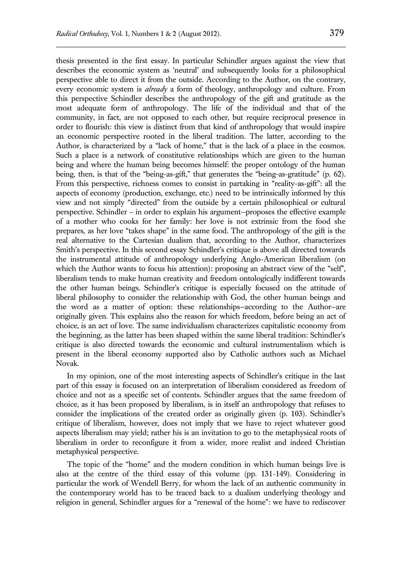thesis presented in the first essay. In particular Schindler argues against the view that describes the economic system as 'neutral' and subsequently looks for a philosophical perspective able to direct it from the outside. According to the Author, on the contrary, every economic system is *already* a form of theology, anthropology and culture. From this perspective Schindler describes the anthropology of the gift and gratitude as the most adequate form of anthropology. The life of the individual and that of the community, in fact, are not opposed to each other, but require reciprocal presence in order to flourish: this view is distinct from that kind of anthropology that would inspire an economic perspective rooted in the liberal tradition. The latter, according to the Author, is characterized by a "lack of home," that is the lack of a place in the cosmos. Such a place is a network of constitutive relationships which are given to the human being and where the human being becomes himself: the proper ontology of the human being, then, is that of the "being-as-gift," that generates the "being-as-gratitude" (p. 62). From this perspective, richness comes to consist in partaking in "reality-as-gift": all the aspects of economy (production, exchange, etc.) need to be intrinsically informed by this view and not simply "directed" from the outside by a certain philosophical or cultural perspective. Schindler – in order to explain his argument—proposes the effective example of a mother who cooks for her family: her love is not extrinsic from the food she prepares, as her love "takes shape" in the same food. The anthropology of the gift is the real alternative to the Cartesian dualism that, according to the Author, characterizes Smith's perspective. In this second essay Schindler's critique is above all directed towards the instrumental attitude of anthropology underlying Anglo-American liberalism (on which the Author wants to focus his attention): proposing an abstract view of the "self", liberalism tends to make human creativity and freedom ontologically indifferent towards the other human beings. Schindler's critique is especially focused on the attitude of liberal philosophy to consider the relationship with God, the other human beings and the word as a matter of option: these relationships—according to the Author—are originally given. This explains also the reason for which freedom, before being an act of choice, is an act of love. The same individualism characterizes capitalistic economy from the beginning, as the latter has been shaped within the same liberal tradition: Schindler's critique is also directed towards the economic and cultural instrumentalism which is present in the liberal economy supported also by Catholic authors such as Michael Novak.

In my opinion, one of the most interesting aspects of Schindler's critique in the last part of this essay is focused on an interpretation of liberalism considered as freedom of choice and not as a specific set of contents. Schindler argues that the same freedom of choice, as it has been proposed by liberalism, is in itself an anthropology that refuses to consider the implications of the created order as originally given (p. 103). Schindler's critique of liberalism, however, does not imply that we have to reject whatever good aspects liberalism may yield; rather his is an invitation to go to the metaphysical roots of liberalism in order to reconfigure it from a wider, more realist and indeed Christian metaphysical perspective.

The topic of the "home" and the modern condition in which human beings live is also at the centre of the third essay of this volume (pp. 131-149). Considering in particular the work of Wendell Berry, for whom the lack of an authentic community in the contemporary world has to be traced back to a dualism underlying theology and religion in general, Schindler argues for a "renewal of the home": we have to rediscover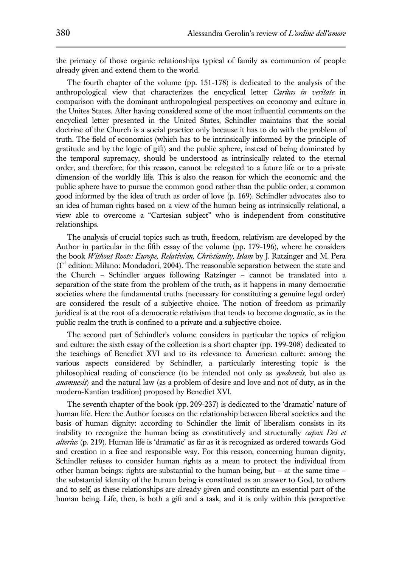the primacy of those organic relationships typical of family as communion of people already given and extend them to the world.

The fourth chapter of the volume (pp. 151-178) is dedicated to the analysis of the anthropological view that characterizes the encyclical letter *Caritas in veritate* in comparison with the dominant anthropological perspectives on economy and culture in the Unites States. After having considered some of the most influential comments on the encyclical letter presented in the United States, Schindler maintains that the social doctrine of the Church is a social practice only because it has to do with the problem of truth. The field of economics (which has to be intrinsically informed by the principle of gratitude and by the logic of gift) and the public sphere, instead of being dominated by the temporal supremacy, should be understood as intrinsically related to the eternal order, and therefore, for this reason, cannot be relegated to a future life or to a private dimension of the worldly life. This is also the reason for which the economic and the public sphere have to pursue the common good rather than the public order, a common good informed by the idea of truth as order of love (p. 169). Schindler advocates also to an idea of human rights based on a view of the human being as intrinsically relational, a view able to overcome a "Cartesian subject" who is independent from constitutive relationships.

The analysis of crucial topics such as truth, freedom, relativism are developed by the Author in particular in the fifth essay of the volume (pp. 179-196), where he considers the book *Without Roots: Europe, Relativism, Christianity, Islam* by J. Ratzinger and M. Pera  $(1<sup>st</sup>$  edition: Milano: Mondadori, 2004). The reasonable separation between the state and the Church – Schindler argues following Ratzinger – cannot be translated into a separation of the state from the problem of the truth, as it happens in many democratic societies where the fundamental truths (necessary for constituting a genuine legal order) are considered the result of a subjective choice. The notion of freedom as primarily juridical is at the root of a democratic relativism that tends to become dogmatic, as in the public realm the truth is confined to a private and a subjective choice.

The second part of Schindler's volume considers in particular the topics of religion and culture: the sixth essay of the collection is a short chapter (pp. 199-208) dedicated to the teachings of Benedict XVI and to its relevance to American culture: among the various aspects considered by Schindler, a particularly interesting topic is the philosophical reading of conscience (to be intended not only as *synderesis*, but also as *anamnesis*) and the natural law (as a problem of desire and love and not of duty, as in the modern-Kantian tradition) proposed by Benedict XVI.

The seventh chapter of the book (pp. 209-237) is dedicated to the 'dramatic' nature of human life. Here the Author focuses on the relationship between liberal societies and the basis of human dignity: according to Schindler the limit of liberalism consists in its inability to recognize the human being as constitutively and structurally *capax Dei et alterius* (p. 219). Human life is 'dramatic' as far as it is recognized as ordered towards God and creation in a free and responsible way. For this reason, concerning human dignity, Schindler refuses to consider human rights as a mean to protect the individual from other human beings: rights are substantial to the human being, but – at the same time – the substantial identity of the human being is constituted as an answer to God, to others and to self, as these relationships are already given and constitute an essential part of the human being. Life, then, is both a gift and a task, and it is only within this perspective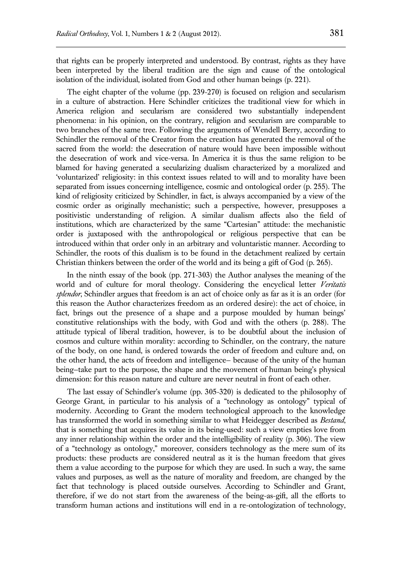that rights can be properly interpreted and understood. By contrast, rights as they have been interpreted by the liberal tradition are the sign and cause of the ontological isolation of the individual, isolated from God and other human beings (p. 221).

The eight chapter of the volume (pp. 239-270) is focused on religion and secularism in a culture of abstraction. Here Schindler criticizes the traditional view for which in America religion and secularism are considered two substantially independent phenomena: in his opinion, on the contrary, religion and secularism are comparable to two branches of the same tree. Following the arguments of Wendell Berry, according to Schindler the removal of the Creator from the creation has generated the removal of the sacred from the world: the desecration of nature would have been impossible without the desecration of work and vice-versa. In America it is thus the same religion to be blamed for having generated a secularizing dualism characterized by a moralized and 'voluntarized' religiosity: in this context issues related to will and to morality have been separated from issues concerning intelligence, cosmic and ontological order (p. 255). The kind of religiosity criticized by Schindler, in fact, is always accompanied by a view of the cosmic order as originally mechanistic; such a perspective, however, presupposes a positivistic understanding of religion. A similar dualism affects also the field of institutions, which are characterized by the same "Cartesian" attitude: the mechanistic order is juxtaposed with the anthropological or religious perspective that can be introduced within that order only in an arbitrary and voluntaristic manner. According to Schindler, the roots of this dualism is to be found in the detachment realized by certain Christian thinkers between the order of the world and its being a gift of God (p. 265).

In the ninth essay of the book (pp. 271-303) the Author analyses the meaning of the world and of culture for moral theology. Considering the encyclical letter *Veritatis splendor*, Schindler argues that freedom is an act of choice only as far as it is an order (for this reason the Author characterizes freedom as an ordered desire): the act of choice, in fact, brings out the presence of a shape and a purpose moulded by human beings' constitutive relationships with the body, with God and with the others (p. 288). The attitude typical of liberal tradition, however, is to be doubtful about the inclusion of cosmos and culture within morality: according to Schindler, on the contrary, the nature of the body, on one hand, is ordered towards the order of freedom and culture and, on the other hand, the acts of freedom and intelligence— because of the unity of the human being—take part to the purpose, the shape and the movement of human being's physical dimension: for this reason nature and culture are never neutral in front of each other.

The last essay of Schindler's volume (pp. 305-320) is dedicated to the philosophy of George Grant, in particular to his analysis of a "technology as ontology" typical of modernity. According to Grant the modern technological approach to the knowledge has transformed the world in something similar to what Heidegger described as *Bestand*, that is something that acquires its value in its being-used: such a view empties love from any inner relationship within the order and the intelligibility of reality (p. 306). The view of a "technology as ontology," moreover, considers technology as the mere sum of its products: these products are considered neutral as it is the human freedom that gives them a value according to the purpose for which they are used. In such a way, the same values and purposes, as well as the nature of morality and freedom, are changed by the fact that technology is placed outside ourselves. According to Schindler and Grant, therefore, if we do not start from the awareness of the being-as-gift, all the efforts to transform human actions and institutions will end in a re-ontologization of technology,